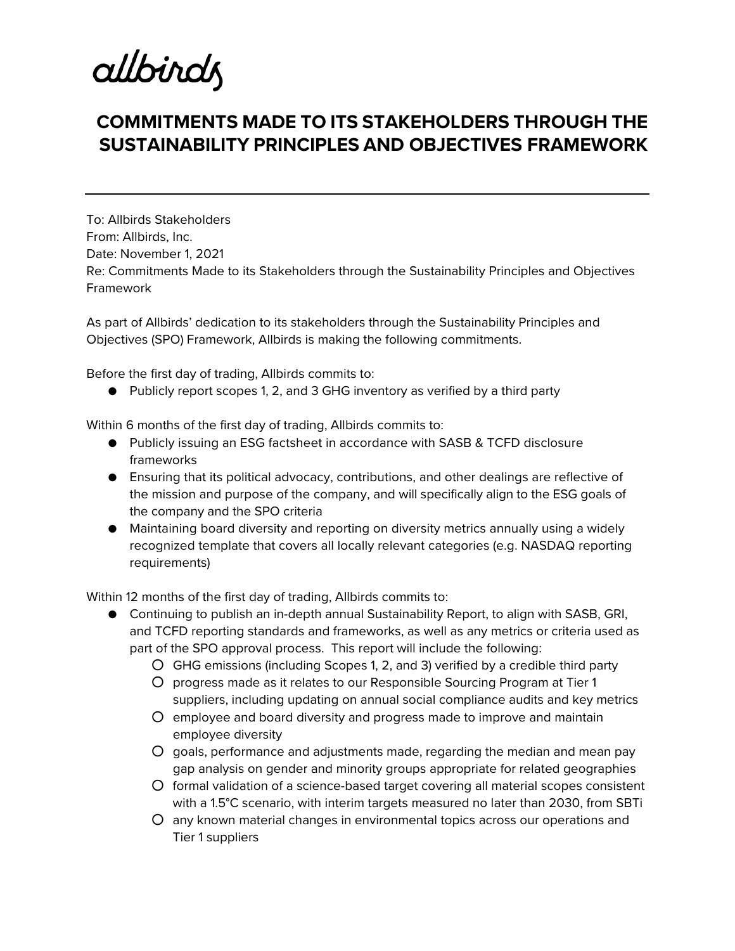allbirdz

## **COMMITMENTS MADE TO ITS STAKEHOLDERS THROUGH THE SUSTAINABILITY PRINCIPLES AND OBJECTIVES FRAMEWORK**

To: Allbirds Stakeholders From: Allbirds, Inc. Date: November 1, 2021 Re: Commitments Made to its Stakeholders through the Sustainability Principles and Objectives Framework

As part of Allbirds' dedication to its stakeholders through the Sustainability Principles and Objectives (SPO) Framework, Allbirds is making the following commitments.

Before the first day of trading, Allbirds commits to:

● Publicly report scopes 1, 2, and 3 GHG inventory as verified by a third party

Within 6 months of the first day of trading, Allbirds commits to:

- Publicly issuing an ESG factsheet in accordance with SASB & TCFD disclosure frameworks
- Ensuring that its political advocacy, contributions, and other dealings are reflective of the mission and purpose of the company, and will specifically align to the ESG goals of the company and the SPO criteria
- Maintaining board diversity and reporting on diversity metrics annually using a widely recognized template that covers all locally relevant categories (e.g. NASDAQ reporting requirements)

Within 12 months of the first day of trading, Allbirds commits to:

- Continuing to publish an in-depth annual Sustainability Report, to align with SASB, GRI, and TCFD reporting standards and frameworks, as well as any metrics or criteria used as part of the SPO approval process. This report will include the following:
	- GHG emissions (including Scopes 1, 2, and 3) verified by a credible third party
	- progress made as it relates to our Responsible Sourcing Program at Tier 1 suppliers, including updating on annual social compliance audits and key metrics
	- employee and board diversity and progress made to improve and maintain employee diversity
	- goals, performance and adjustments made, regarding the median and mean pay gap analysis on gender and minority groups appropriate for related geographies
	- formal validation of a science-based target covering all material scopes consistent with a 1.5°C scenario, with interim targets measured no later than 2030, from SBTi
	- any known material changes in environmental topics across our operations and Tier 1 suppliers